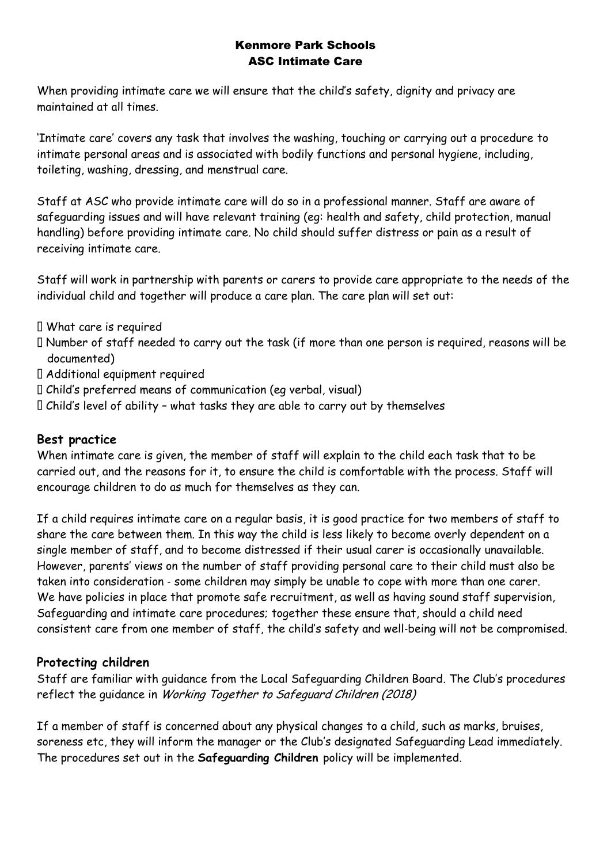## Kenmore Park Schools ASC Intimate Care

When providing intimate care we will ensure that the child's safety, dignity and privacy are maintained at all times.

'Intimate care' covers any task that involves the washing, touching or carrying out a procedure to intimate personal areas and is associated with bodily functions and personal hygiene, including, toileting, washing, dressing, and menstrual care.

Staff at ASC who provide intimate care will do so in a professional manner. Staff are aware of safeguarding issues and will have relevant training (eg: health and safety, child protection, manual handling) before providing intimate care. No child should suffer distress or pain as a result of receiving intimate care.

Staff will work in partnership with parents or carers to provide care appropriate to the needs of the individual child and together will produce a care plan. The care plan will set out:

- What care is required
- Number of staff needed to carry out the task (if more than one person is required, reasons will be documented)
- Additional equipment required
- Child's preferred means of communication (eg verbal, visual)
- Child's level of ability what tasks they are able to carry out by themselves

## **Best practice**

When intimate care is given, the member of staff will explain to the child each task that to be carried out, and the reasons for it, to ensure the child is comfortable with the process. Staff will encourage children to do as much for themselves as they can.

If a child requires intimate care on a regular basis, it is good practice for two members of staff to share the care between them. In this way the child is less likely to become overly dependent on a single member of staff, and to become distressed if their usual carer is occasionally unavailable. However, parents' views on the number of staff providing personal care to their child must also be taken into consideration ‐ some children may simply be unable to cope with more than one carer. We have policies in place that promote safe recruitment, as well as having sound staff supervision, Safeguarding and intimate care procedures; together these ensure that, should a child need consistent care from one member of staff, the child's safety and well‐being will not be compromised.

## **Protecting children**

Staff are familiar with guidance from the Local Safeguarding Children Board. The Club's procedures reflect the guidance in Working Together to Safeguard Children (2018)

If a member of staff is concerned about any physical changes to a child, such as marks, bruises, soreness etc, they will inform the manager or the Club's designated Safeguarding Lead immediately. The procedures set out in the **Safeguarding Children** policy will be implemented.